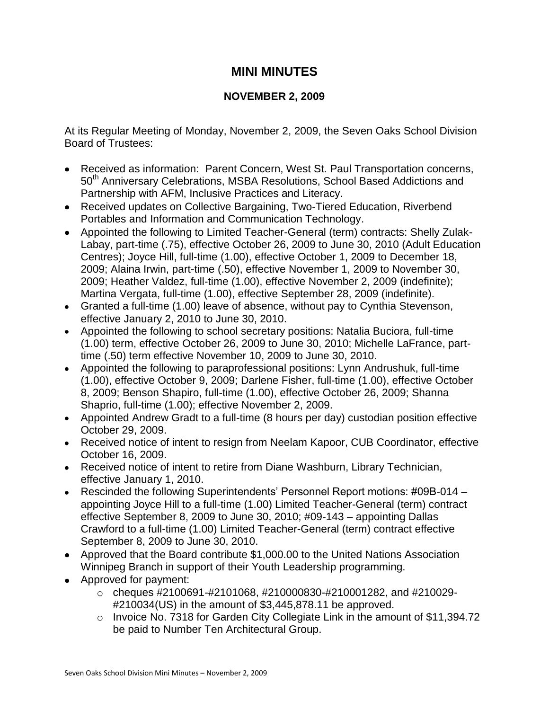## **MINI MINUTES**

## **NOVEMBER 2, 2009**

At its Regular Meeting of Monday, November 2, 2009, the Seven Oaks School Division Board of Trustees:

- Received as information: Parent Concern, West St. Paul Transportation concerns, 50<sup>th</sup> Anniversary Celebrations, MSBA Resolutions, School Based Addictions and Partnership with AFM, Inclusive Practices and Literacy.
- Received updates on Collective Bargaining, Two-Tiered Education, Riverbend Portables and Information and Communication Technology.
- Appointed the following to Limited Teacher-General (term) contracts: Shelly Zulak-Labay, part-time (.75), effective October 26, 2009 to June 30, 2010 (Adult Education Centres); Joyce Hill, full-time (1.00), effective October 1, 2009 to December 18, 2009; Alaina Irwin, part-time (.50), effective November 1, 2009 to November 30, 2009; Heather Valdez, full-time (1.00), effective November 2, 2009 (indefinite); Martina Vergata, full-time (1.00), effective September 28, 2009 (indefinite).
- Granted a full-time (1.00) leave of absence, without pay to Cynthia Stevenson, effective January 2, 2010 to June 30, 2010.
- Appointed the following to school secretary positions: Natalia Buciora, full-time (1.00) term, effective October 26, 2009 to June 30, 2010; Michelle LaFrance, parttime (.50) term effective November 10, 2009 to June 30, 2010.
- Appointed the following to paraprofessional positions: Lynn Andrushuk, full-time (1.00), effective October 9, 2009; Darlene Fisher, full-time (1.00), effective October 8, 2009; Benson Shapiro, full-time (1.00), effective October 26, 2009; Shanna Shaprio, full-time (1.00); effective November 2, 2009.
- Appointed Andrew Gradt to a full-time (8 hours per day) custodian position effective October 29, 2009.
- Received notice of intent to resign from Neelam Kapoor, CUB Coordinator, effective October 16, 2009.
- Received notice of intent to retire from Diane Washburn, Library Technician, effective January 1, 2010.
- Rescinded the following Superintendents' Personnel Report motions: #09B-014 appointing Joyce Hill to a full-time (1.00) Limited Teacher-General (term) contract effective September 8, 2009 to June 30, 2010; #09-143 – appointing Dallas Crawford to a full-time (1.00) Limited Teacher-General (term) contract effective September 8, 2009 to June 30, 2010.
- Approved that the Board contribute \$1,000.00 to the United Nations Association Winnipeg Branch in support of their Youth Leadership programming.
- Approved for payment:
	- $\circ$  cheques #2100691-#2101068, #210000830-#210001282, and #210029-#210034(US) in the amount of \$3,445,878.11 be approved.
	- o Invoice No. 7318 for Garden City Collegiate Link in the amount of \$11,394.72 be paid to Number Ten Architectural Group.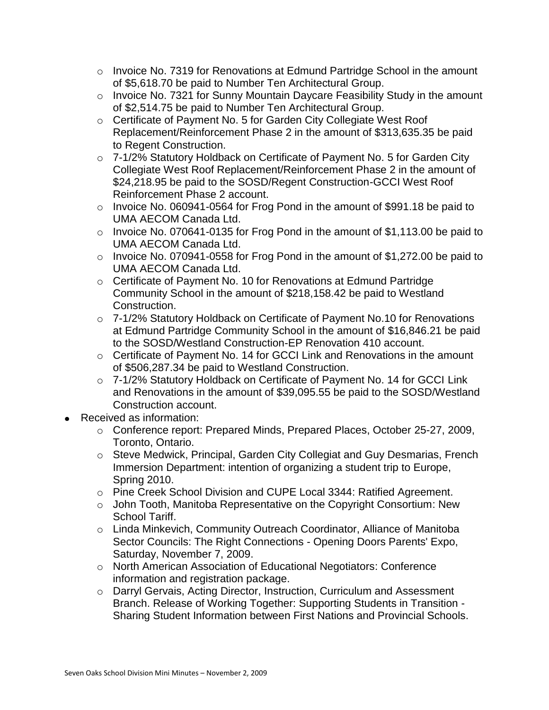- $\circ$  Invoice No. 7319 for Renovations at Edmund Partridge School in the amount of \$5,618.70 be paid to Number Ten Architectural Group.
- o Invoice No. 7321 for Sunny Mountain Daycare Feasibility Study in the amount of \$2,514.75 be paid to Number Ten Architectural Group.
- o Certificate of Payment No. 5 for Garden City Collegiate West Roof Replacement/Reinforcement Phase 2 in the amount of \$313,635.35 be paid to Regent Construction.
- o 7-1/2% Statutory Holdback on Certificate of Payment No. 5 for Garden City Collegiate West Roof Replacement/Reinforcement Phase 2 in the amount of \$24,218.95 be paid to the SOSD/Regent Construction-GCCI West Roof Reinforcement Phase 2 account.
- o Invoice No. 060941-0564 for Frog Pond in the amount of \$991.18 be paid to UMA AECOM Canada Ltd.
- $\circ$  Invoice No. 070641-0135 for Frog Pond in the amount of \$1,113.00 be paid to UMA AECOM Canada Ltd.
- o Invoice No. 070941-0558 for Frog Pond in the amount of \$1,272.00 be paid to UMA AECOM Canada Ltd.
- o Certificate of Payment No. 10 for Renovations at Edmund Partridge Community School in the amount of \$218,158.42 be paid to Westland Construction.
- o 7-1/2% Statutory Holdback on Certificate of Payment No.10 for Renovations at Edmund Partridge Community School in the amount of \$16,846.21 be paid to the SOSD/Westland Construction-EP Renovation 410 account.
- o Certificate of Payment No. 14 for GCCI Link and Renovations in the amount of \$506,287.34 be paid to Westland Construction.
- o 7-1/2% Statutory Holdback on Certificate of Payment No. 14 for GCCI Link and Renovations in the amount of \$39,095.55 be paid to the SOSD/Westland Construction account.
- Received as information:
	- o Conference report: Prepared Minds, Prepared Places, October 25-27, 2009, Toronto, Ontario.
	- o Steve Medwick, Principal, Garden City Collegiat and Guy Desmarias, French Immersion Department: intention of organizing a student trip to Europe, Spring 2010.
	- o Pine Creek School Division and CUPE Local 3344: Ratified Agreement.
	- o John Tooth, Manitoba Representative on the Copyright Consortium: New School Tariff.
	- o Linda Minkevich, Community Outreach Coordinator, Alliance of Manitoba Sector Councils: The Right Connections - Opening Doors Parents' Expo, Saturday, November 7, 2009.
	- o North American Association of Educational Negotiators: Conference information and registration package.
	- o Darryl Gervais, Acting Director, Instruction, Curriculum and Assessment Branch. Release of Working Together: Supporting Students in Transition - Sharing Student Information between First Nations and Provincial Schools.